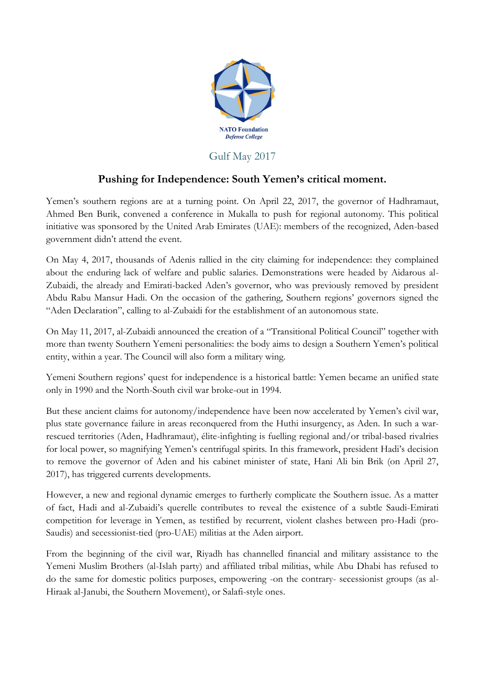

## Gulf May 2017

## **Pushing for Independence: South Yemen's critical moment.**

Yemen's southern regions are at a turning point. On April 22, 2017, the governor of Hadhramaut, Ahmed Ben Burik, convened a conference in Mukalla to push for regional autonomy. This political initiative was sponsored by the United Arab Emirates (UAE): members of the recognized, Aden-based government didn't attend the event.

On May 4, 2017, thousands of Adenis rallied in the city claiming for independence: they complained about the enduring lack of welfare and public salaries. Demonstrations were headed by Aidarous al-Zubaidi, the already and Emirati-backed Aden's governor, who was previously removed by president Abdu Rabu Mansur Hadi. On the occasion of the gathering, Southern regions' governors signed the "Aden Declaration", calling to al-Zubaidi for the establishment of an autonomous state.

On May 11, 2017, al-Zubaidi announced the creation of a "Transitional Political Council" together with more than twenty Southern Yemeni personalities: the body aims to design a Southern Yemen's political entity, within a year. The Council will also form a military wing.

Yemeni Southern regions' quest for independence is a historical battle: Yemen became an unified state only in 1990 and the North-South civil war broke-out in 1994.

But these ancient claims for autonomy/independence have been now accelerated by Yemen's civil war, plus state governance failure in areas reconquered from the Huthi insurgency, as Aden. In such a warrescued territories (Aden, Hadhramaut), élite-infighting is fuelling regional and/or tribal-based rivalries for local power, so magnifying Yemen's centrifugal spirits. In this framework, president Hadi's decision to remove the governor of Aden and his cabinet minister of state, Hani Ali bin Brik (on April 27, 2017), has triggered currents developments.

However, a new and regional dynamic emerges to furtherly complicate the Southern issue. As a matter of fact, Hadi and al-Zubaidi's querelle contributes to reveal the existence of a subtle Saudi-Emirati competition for leverage in Yemen, as testified by recurrent, violent clashes between pro-Hadi (pro-Saudis) and secessionist-tied (pro-UAE) militias at the Aden airport.

From the beginning of the civil war, Riyadh has channelled financial and military assistance to the Yemeni Muslim Brothers (al-Islah party) and affiliated tribal militias, while Abu Dhabi has refused to do the same for domestic politics purposes, empowering -on the contrary- secessionist groups (as al-Hiraak al-Janubi, the Southern Movement), or Salafi-style ones.